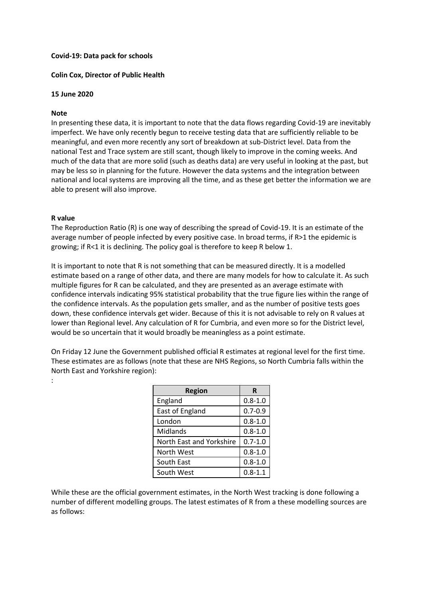## **Covid-19: Data pack for schools**

## **Colin Cox, Director of Public Health**

#### **15 June 2020**

#### **Note**

In presenting these data, it is important to note that the data flows regarding Covid-19 are inevitably imperfect. We have only recently begun to receive testing data that are sufficiently reliable to be meaningful, and even more recently any sort of breakdown at sub-District level. Data from the national Test and Trace system are still scant, though likely to improve in the coming weeks. And much of the data that are more solid (such as deaths data) are very useful in looking at the past, but may be less so in planning for the future. However the data systems and the integration between national and local systems are improving all the time, and as these get better the information we are able to present will also improve.

#### **R value**

:

The Reproduction Ratio (R) is one way of describing the spread of Covid-19. It is an estimate of the average number of people infected by every positive case. In broad terms, if R>1 the epidemic is growing; if R<1 it is declining. The policy goal is therefore to keep R below 1.

It is important to note that R is not something that can be measured directly. It is a modelled estimate based on a range of other data, and there are many models for how to calculate it. As such multiple figures for R can be calculated, and they are presented as an average estimate with confidence intervals indicating 95% statistical probability that the true figure lies within the range of the confidence intervals. As the population gets smaller, and as the number of positive tests goes down, these confidence intervals get wider. Because of this it is not advisable to rely on R values at lower than Regional level. Any calculation of R for Cumbria, and even more so for the District level, would be so uncertain that it would broadly be meaningless as a point estimate.

On Friday 12 June the Government published official R estimates at regional level for the first time. These estimates are as follows (note that these are NHS Regions, so North Cumbria falls within the North East and Yorkshire region):

| <b>Region</b>            | R           |
|--------------------------|-------------|
| England                  | $0.8 - 1.0$ |
| East of England          | $0.7 - 0.9$ |
| London                   | $0.8 - 1.0$ |
| Midlands                 | $0.8 - 1.0$ |
| North East and Yorkshire | $0.7 - 1.0$ |
| North West               | $0.8 - 1.0$ |
| South East               | $0.8 - 1.0$ |
| South West               | $0.8 - 1.1$ |

While these are the official government estimates, in the North West tracking is done following a number of different modelling groups. The latest estimates of R from a these modelling sources are as follows: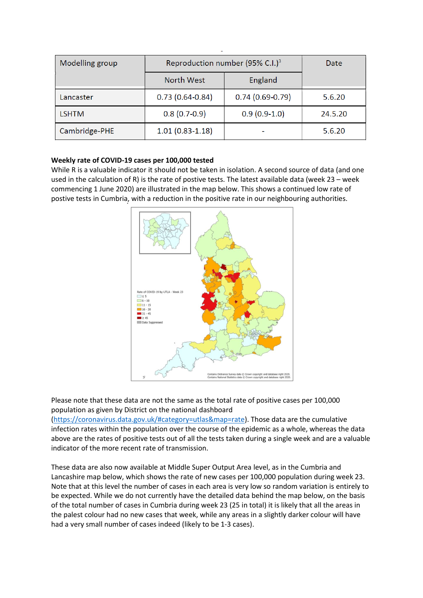| Modelling group | Reproduction number (95% C.I.) <sup>3</sup> |                   | Date    |
|-----------------|---------------------------------------------|-------------------|---------|
|                 | <b>North West</b>                           | England           |         |
| Lancaster       | $0.73(0.64 - 0.84)$                         | $0.74(0.69-0.79)$ | 5.6.20  |
| LSHTM           | $0.8(0.7-0.9)$                              | $0.9(0.9-1.0)$    | 24.5.20 |
| Cambridge-PHE   | $1.01(0.83 - 1.18)$                         |                   | 5.6.20  |

# **Weekly rate of COVID-19 cases per 100,000 tested**

While R is a valuable indicator it should not be taken in isolation. A second source of data (and one used in the calculation of R) is the rate of postive tests. The latest available data (week 23 – week commencing 1 June 2020) are illustrated in the map below. This shows a continued low rate of postive tests in Cumbria, with a reduction in the positive rate in our neighbouring authorities.



Please note that these data are not the same as the total rate of positive cases per 100,000 population as given by District on the national dashboard

[\(https://coronavirus.data.gov.uk/#category=utlas&map=rate\)](https://coronavirus.data.gov.uk/#category=utlas&map=rate). Those data are the cumulative infection rates within the population over the course of the epidemic as a whole, whereas the data above are the rates of positive tests out of all the tests taken during a single week and are a valuable indicator of the more recent rate of transmission.

These data are also now available at Middle Super Output Area level, as in the Cumbria and Lancashire map below, which shows the rate of new cases per 100,000 population during week 23. Note that at this level the number of cases in each area is very low so random variation is entirely to be expected. While we do not currently have the detailed data behind the map below, on the basis of the total number of cases in Cumbria during week 23 (25 in total) it is likely that all the areas in the palest colour had no new cases that week, while any areas in a slightly darker colour will have had a very small number of cases indeed (likely to be 1-3 cases).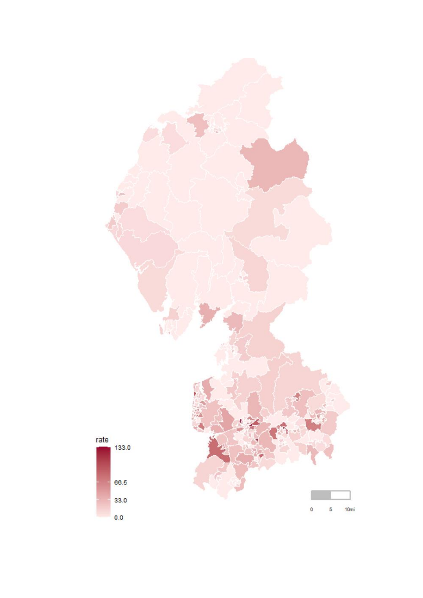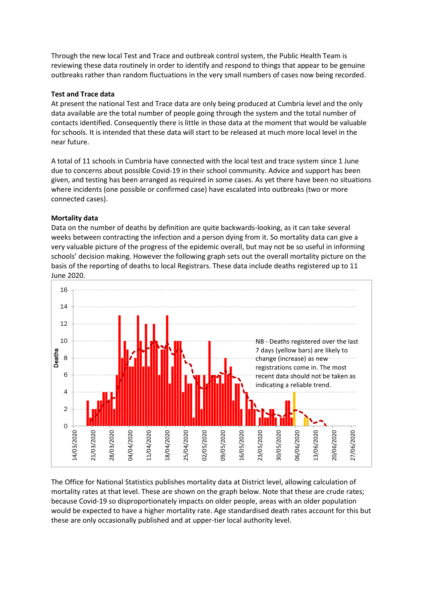Through the new local Test and Trace and outbreak control system, the Public Health Team is reviewing these data routinely in order to identify and respond to things that appear to be genuine outbreaks rather than random fluctuations in the very small numbers of cases now being recorded.

# **Test and Trace data**

At present the national Test and Trace data are only being produced at Cumbria level and the only data available are the total number of people going through the system and the total number of contacts identified. Consequently there is little in those data at the moment that would be valuable for schools. It is intended that these data will start to be released at much more local level in the near future.

A total of 11 schools in Cumbria have connected with the local test and trace system since 1 June due to concerns about possible Covid-19 in their school community. Advice and support has been given, and testing has been arranged as required in some cases. As yet there have been no situations where incidents (one possible or confirmed case) have escalated into outbreaks (two or more connected cases).

# **Mortality data**

Data on the number of deaths by definition are quite backwards-looking, as it can take several weeks between contracting the infection and a person dying from it. So mortality data can give a very valuable picture of the progress of the epidemic overall, but may not be so useful in informing schools' decision making. However the following graph sets out the overall mortality picture on the basis of the reporting of deaths to local Registrars. These data include deaths registered up to 11 June 2020.



The Office for National Statistics publishes mortality data at District level, allowing calculation of mortality rates at that level. These are shown on the graph below. Note that these are crude rates; because Covid-19 so disproportionately impacts on older people, areas with an older population would be expected to have a higher mortality rate. Age standardised death rates account for this but these are only occasionally published and at upper-tier local authority level.